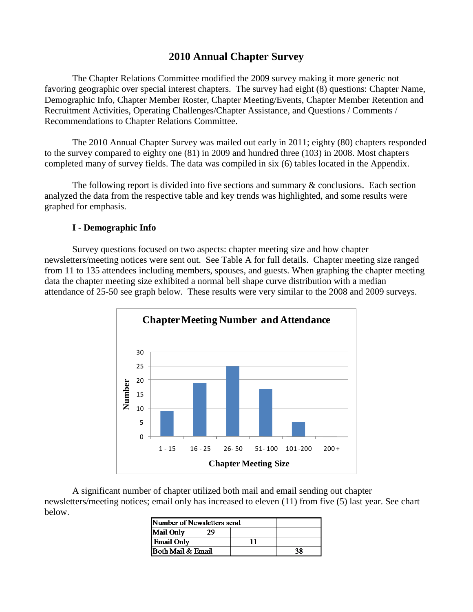# **2010 Annual Chapter Survey**

The Chapter Relations Committee modified the 2009 survey making it more generic not favoring geographic over special interest chapters. The survey had eight (8) questions: Chapter Name, Demographic Info, Chapter Member Roster, Chapter Meeting/Events, Chapter Member Retention and Recruitment Activities, Operating Challenges/Chapter Assistance, and Questions / Comments / Recommendations to Chapter Relations Committee.

The 2010 Annual Chapter Survey was mailed out early in 2011; eighty (80) chapters responded to the survey compared to eighty one (81) in 2009 and hundred three (103) in 2008. Most chapters completed many of survey fields. The data was compiled in six (6) tables located in the Appendix.

The following report is divided into five sections and summary  $\&$  conclusions. Each section analyzed the data from the respective table and key trends was highlighted, and some results were graphed for emphasis.

#### **I** - **Demographic Info**

Survey questions focused on two aspects: chapter meeting size and how chapter newsletters/meeting notices were sent out. See Table A for full details. Chapter meeting size ranged from 11 to 135 attendees including members, spouses, and guests. When graphing the chapter meeting data the chapter meeting size exhibited a normal bell shape curve distribution with a median attendance of 25-50 see graph below. These results were very similar to the 2008 and 2009 surveys.



A significant number of chapter utilized both mail and email sending out chapter newsletters/meeting notices; email only has increased to eleven (11) from five (5) last year. See chart below.

| Number of Newsletters send |     |  |  |
|----------------------------|-----|--|--|
| Mail Only                  | 29. |  |  |
| <b>Email Only</b>          |     |  |  |
| Both Mail & Email          |     |  |  |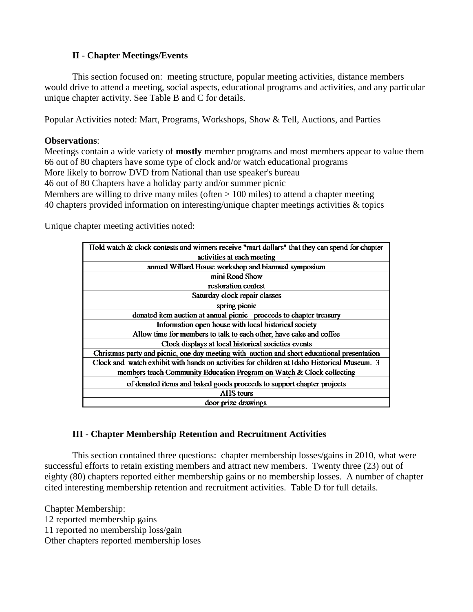## **II** - **Chapter Meetings/Events**

This section focused on: meeting structure, popular meeting activities, distance members would drive to attend a meeting, social aspects, educational programs and activities, and any particular unique chapter activity. See Table B and C for details.

Popular Activities noted: Mart, Programs, Workshops, Show & Tell, Auctions, and Parties

#### **Observations**:

Meetings contain a wide variety of **mostly** member programs and most members appear to value them 66 out of 80 chapters have some type of clock and/or watch educational programs More likely to borrow DVD from National than use speaker's bureau 46 out of 80 Chapters have a holiday party and/or summer picnic Members are willing to drive many miles (often  $> 100$  miles) to attend a chapter meeting 40 chapters provided information on interesting/unique chapter meetings activities & topics

Unique chapter meeting activities noted:

| Hold watch & clock contests and winners receive "mart dollars" that they can spend for chapter<br>activities at each meeting<br>annual Willard House workshop and biannual symposium<br>mini Road Show<br>restoration contest<br>Saturday clock repair classes<br>spring picnic<br>donated item auction at annual picnic - proceeds to chapter treasury<br>Information open house with local historical society<br>Allow time for members to talk to each other, have cake and coffee<br>Clock displays at local historical societies events<br>Christmas party and picnic, one day meeting with auction and short educational presentation<br>Clock and watch exhibit with hands on activities for children at Idaho Historical Museum. 3<br>members teach Community Education Program on Watch & Clock collecting<br>of donated items and baked goods proceeds to support chapter projects<br>AHS tours<br>door prize drawings |  |
|----------------------------------------------------------------------------------------------------------------------------------------------------------------------------------------------------------------------------------------------------------------------------------------------------------------------------------------------------------------------------------------------------------------------------------------------------------------------------------------------------------------------------------------------------------------------------------------------------------------------------------------------------------------------------------------------------------------------------------------------------------------------------------------------------------------------------------------------------------------------------------------------------------------------------------|--|
|                                                                                                                                                                                                                                                                                                                                                                                                                                                                                                                                                                                                                                                                                                                                                                                                                                                                                                                                  |  |
|                                                                                                                                                                                                                                                                                                                                                                                                                                                                                                                                                                                                                                                                                                                                                                                                                                                                                                                                  |  |
|                                                                                                                                                                                                                                                                                                                                                                                                                                                                                                                                                                                                                                                                                                                                                                                                                                                                                                                                  |  |
|                                                                                                                                                                                                                                                                                                                                                                                                                                                                                                                                                                                                                                                                                                                                                                                                                                                                                                                                  |  |
|                                                                                                                                                                                                                                                                                                                                                                                                                                                                                                                                                                                                                                                                                                                                                                                                                                                                                                                                  |  |
|                                                                                                                                                                                                                                                                                                                                                                                                                                                                                                                                                                                                                                                                                                                                                                                                                                                                                                                                  |  |
|                                                                                                                                                                                                                                                                                                                                                                                                                                                                                                                                                                                                                                                                                                                                                                                                                                                                                                                                  |  |
|                                                                                                                                                                                                                                                                                                                                                                                                                                                                                                                                                                                                                                                                                                                                                                                                                                                                                                                                  |  |
|                                                                                                                                                                                                                                                                                                                                                                                                                                                                                                                                                                                                                                                                                                                                                                                                                                                                                                                                  |  |
|                                                                                                                                                                                                                                                                                                                                                                                                                                                                                                                                                                                                                                                                                                                                                                                                                                                                                                                                  |  |
|                                                                                                                                                                                                                                                                                                                                                                                                                                                                                                                                                                                                                                                                                                                                                                                                                                                                                                                                  |  |
|                                                                                                                                                                                                                                                                                                                                                                                                                                                                                                                                                                                                                                                                                                                                                                                                                                                                                                                                  |  |
|                                                                                                                                                                                                                                                                                                                                                                                                                                                                                                                                                                                                                                                                                                                                                                                                                                                                                                                                  |  |
|                                                                                                                                                                                                                                                                                                                                                                                                                                                                                                                                                                                                                                                                                                                                                                                                                                                                                                                                  |  |
|                                                                                                                                                                                                                                                                                                                                                                                                                                                                                                                                                                                                                                                                                                                                                                                                                                                                                                                                  |  |
|                                                                                                                                                                                                                                                                                                                                                                                                                                                                                                                                                                                                                                                                                                                                                                                                                                                                                                                                  |  |
|                                                                                                                                                                                                                                                                                                                                                                                                                                                                                                                                                                                                                                                                                                                                                                                                                                                                                                                                  |  |

## **III - Chapter Membership Retention and Recruitment Activities**

This section contained three questions: chapter membership losses/gains in 2010, what were successful efforts to retain existing members and attract new members. Twenty three (23) out of eighty (80) chapters reported either membership gains or no membership losses. A number of chapter cited interesting membership retention and recruitment activities. Table D for full details.

Chapter Membership: 12 reported membership gains 11 reported no membership loss/gain Other chapters reported membership loses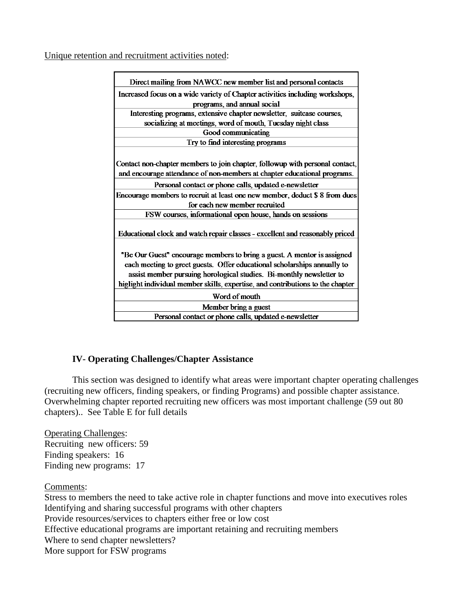Unique retention and recruitment activities noted:

| Direct mailing from NAWCC new member list and personal contacts                                                                                                                                                                                                                                               |
|---------------------------------------------------------------------------------------------------------------------------------------------------------------------------------------------------------------------------------------------------------------------------------------------------------------|
| Increased focus on a wide variety of Chapter activities including workshops,                                                                                                                                                                                                                                  |
| programs, and annual social                                                                                                                                                                                                                                                                                   |
| Interesting programs, extensive chapter newsletter, suitcase courses,                                                                                                                                                                                                                                         |
| socializing at meetings, word of mouth, Tuesday night class                                                                                                                                                                                                                                                   |
| Good communicating                                                                                                                                                                                                                                                                                            |
| Try to find interesting programs                                                                                                                                                                                                                                                                              |
|                                                                                                                                                                                                                                                                                                               |
| Contact non-chapter members to join chapter, followup with personal contact,                                                                                                                                                                                                                                  |
| and encourage attendance of non-members at chapter educational programs.                                                                                                                                                                                                                                      |
| Personal contact or phone calls, updated e-newsletter                                                                                                                                                                                                                                                         |
| Encourage members to recruit at least one new member, deduct \$8 from dues                                                                                                                                                                                                                                    |
| for each new member recruited                                                                                                                                                                                                                                                                                 |
| FSW courses, informational open house, hands on sessions                                                                                                                                                                                                                                                      |
| Educational clock and watch repair classes - excellent and reasonably priced                                                                                                                                                                                                                                  |
| "Be Our Guest" encourage members to bring a guest. A mentor is assigned<br>each meeting to greet guests. Offer educational scholarships annually to<br>assist member pursuing horological studies. Bi-monthly newsletter to<br>higlight individual member skills, expertise, and contributions to the chapter |
| Word of mouth                                                                                                                                                                                                                                                                                                 |
| Member bring a guest                                                                                                                                                                                                                                                                                          |
| Personal contact or phone calls, updated e-newsletter                                                                                                                                                                                                                                                         |

## **IV- Operating Challenges/Chapter Assistance**

This section was designed to identify what areas were important chapter operating challenges (recruiting new officers, finding speakers, or finding Programs) and possible chapter assistance. Overwhelming chapter reported recruiting new officers was most important challenge (59 out 80 chapters).. See Table E for full details

Operating Challenges: Recruiting new officers: 59 Finding speakers: 16 Finding new programs: 17

Comments:

Stress to members the need to take active role in chapter functions and move into executives roles Identifying and sharing successful programs with other chapters Provide resources/services to chapters either free or low cost Effective educational programs are important retaining and recruiting members Where to send chapter newsletters? More support for FSW programs